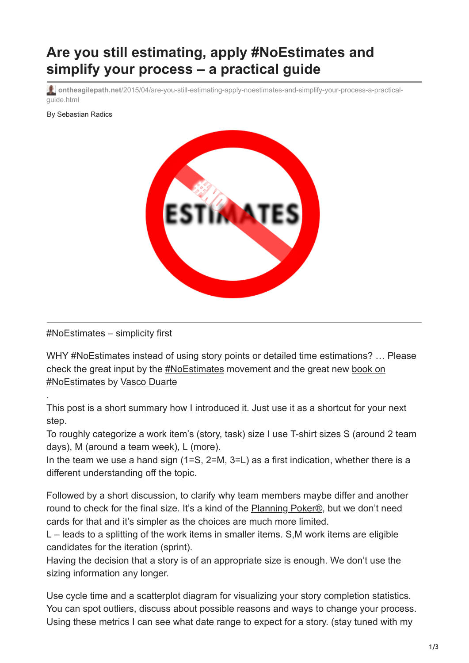## **Are you still estimating, apply #NoEstimates and simplify your process – a practical guide**

**ontheagilepath.net**[/2015/04/are-you-still-estimating-apply-noestimates-and-simplify-your-process-a-practical](https://www.ontheagilepath.net/2015/04/are-you-still-estimating-apply-noestimates-and-simplify-your-process-a-practical-guide.html)guide.html

By Sebastian Radics



#NoEstimates – simplicity first

.

WHY #NoEstimates instead of using story points or detailed time estimations? ... Please [check the great input by the #NoEstimates movement and the great new book on](https://oikosofyseries.com/noEstimates-book?affiliate_id=327271) #NoEstimates by [Vasco Duarte](https://twitter.com/duarte_vasco)

This post is a short summary how I introduced it. Just use it as a shortcut for your next step.

To roughly categorize a work item's (story, task) size I use T-shirt sizes S (around 2 team days), M (around a team week), L (more).

In the team we use a hand sign (1=S, 2=M, 3=L) as a first indication, whether there is a different understanding off the topic.

Followed by a short discussion, to clarify why team members maybe differ and another round to check for the final size. It's a kind of the [Planning Poker®,](http://www.planningpoker.com/detail.html) but we don't need cards for that and it's simpler as the choices are much more limited.

L – leads to a splitting of the work items in smaller items. S,M work items are eligible candidates for the iteration (sprint).

Having the decision that a story is of an appropriate size is enough. We don't use the sizing information any longer.

Use cycle time and a scatterplot diagram for visualizing your story completion statistics. You can spot outliers, discuss about possible reasons and ways to change your process. Using these metrics I can see what date range to expect for a story. (stay tuned with my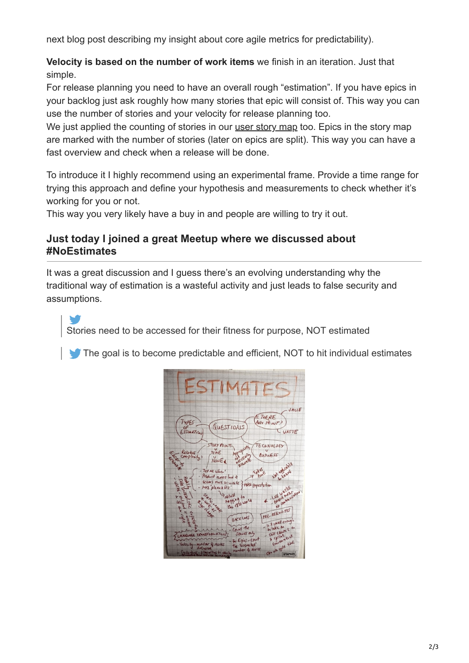next blog post describing my insight about core agile metrics for predictability).

**Velocity is based on the number of work items** we finish in an iteration. Just that simple.

For release planning you need to have an overall rough "estimation". If you have epics in your backlog just ask roughly how many stories that epic will consist of. This way you can use the number of stories and your velocity for release planning too.

We just applied the counting of stories in our [user story map](http://de.slideshare.net/SteveRogalsky/user-story-mapping-in-practice) too. Epics in the story map are marked with the number of stories (later on epics are split). This way you can have a fast overview and check when a release will be done.

To introduce it I highly recommend using an experimental frame. Provide a time range for trying this approach and define your hypothesis and measurements to check whether it's working for you or not.

This way you very likely have a buy in and people are willing to try it out.

## **Just today I joined a great Meetup where we discussed about #NoEstimates**

It was a great discussion and I guess there's an evolving understanding why the traditional way of estimation is a wasteful activity and just leads to false security and assumptions.

Stories need to be accessed for their fitness for purpose, NOT estimated

[T](http://ctt.ec/Rw3i6)he goal is to become predictable and efficient, NOT to hit individual estimates